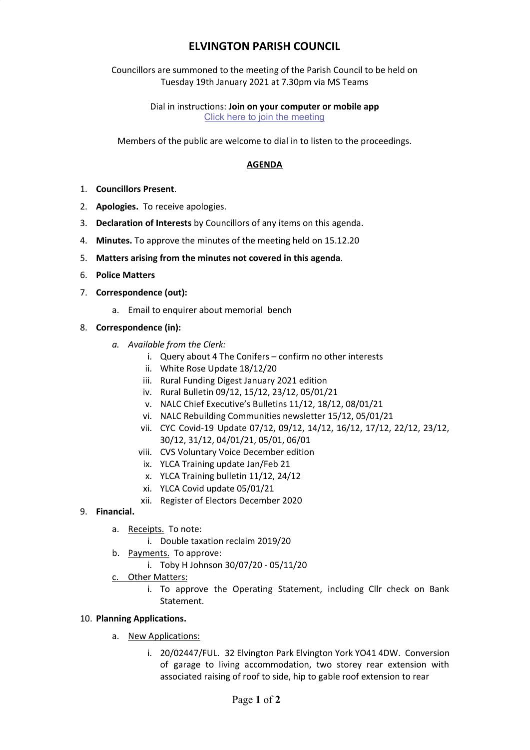## **ELVINGTON PARISH COUNCIL**

Councillors are summoned to the meeting of the Parish Council to be held on Tuesday 19th January 2021 at 7.30pm via MS Teams

> Dial in instructions: **Join on your computer or mobile app** [Click here to join the meeting](https://teams.microsoft.com/l/meetup-join/19%3ameeting_MjUyZTRkNjUtMWRhZC00YmEzLThjY2MtY2E0ODJhNDg1Y2Zk%40thread.v2/0?context=%7b%22Tid%22%3a%22d6328968-e95b-4765-9fd0-119fb04a8ddf%22%2c%22Oid%22%3a%221c1fa5b4-8190-4819-ba38-d534ddbb0290%22%7d)

Members of the public are welcome to dial in to listen to the proceedings.

## **AGENDA**

- 1. **Councillors Present**.
- 2. **Apologies.** To receive apologies.
- 3. **Declaration of Interests** by Councillors of any items on this agenda.
- 4. **Minutes.** To approve the minutes of the meeting held on 15.12.20
- 5. **Matters arising from the minutes not covered in this agenda**.
- 6. **Police Matters**
- 7. **Correspondence (out):**
	- a. Email to enquirer about memorial bench
- 8. **Correspondence (in):**
	- *a. Available from the Clerk:*
		- i. Query about 4 The Conifers confirm no other interests
		- ii. White Rose Update 18/12/20
		- iii. Rural Funding Digest January 2021 edition
		- iv. Rural Bulletin 09/12, 15/12, 23/12, 05/01/21
		- v. NALC Chief Executive's Bulletins 11/12, 18/12, 08/01/21
		- vi. NALC Rebuilding Communities newsletter 15/12, 05/01/21
		- vii. CYC Covid-19 Update 07/12, 09/12, 14/12, 16/12, 17/12, 22/12, 23/12, 30/12, 31/12, 04/01/21, 05/01, 06/01
		- viii. CVS Voluntary Voice December edition
		- ix. YLCA Training update Jan/Feb 21
		- x. YLCA Training bulletin 11/12, 24/12
		- xi. YLCA Covid update 05/01/21
		- xii. Register of Electors December 2020
- 9. **Financial.**
	- a. Receipts. To note:
		- i. Double taxation reclaim 2019/20
	- b. Payments. To approve:
		- i. Toby H Johnson 30/07/20 05/11/20
	- c. Other Matters:
		- i. To approve the Operating Statement, including Cllr check on Bank Statement.
- 10. **Planning Applications.**
	- a. New Applications:
		- i. 20/02447/FUL. 32 Elvington Park Elvington York YO41 4DW. Conversion of garage to living accommodation, two storey rear extension with associated raising of roof to side, hip to gable roof extension to rear